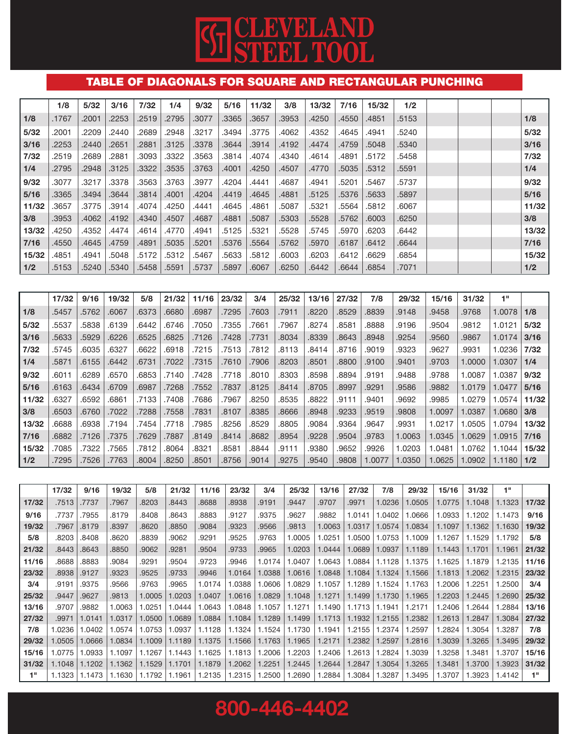# **CG CLEVELAND**<br>STEEL TOOL

### TABLE OF DIAGONALS FOR SQUARE AND RECTANGULAR PUNCHING

|       | 1/8   | 5/32  | 3/16  | 7/32  | 1/4   | 9/32  | 5/16  | 11/32 | 3/8   | 13/32 | 7/16  | 15/32 | 1/2   |  |       |
|-------|-------|-------|-------|-------|-------|-------|-------|-------|-------|-------|-------|-------|-------|--|-------|
| 1/8   | .1767 | .2001 | .2253 | .2519 | .2795 | .3077 | .3365 | .3657 | .3953 | .4250 | .4550 | .4851 | .5153 |  | 1/8   |
| 5/32  | .2001 | .2209 | .2440 | .2689 | .2948 | .3217 | .3494 | .3775 | .4062 | .4352 | .4645 | .4941 | .5240 |  | 5/32  |
| 3/16  | .2253 | .2440 | .2651 | .2881 | .3125 | .3378 | .3644 | .3914 | .4192 | .4474 | .4759 | .5048 | .5340 |  | 3/16  |
| 7/32  | .2519 | .2689 | .2881 | .3093 | .3322 | .3563 | .3814 | .4074 | .4340 | .4614 | .4891 | .5172 | .5458 |  | 7/32  |
| 1/4   | .2795 | .2948 | .3125 | .3322 | .3535 | .3763 | .4001 | .4250 | .4507 | .4770 | .5035 | .5312 | .5591 |  | 1/4   |
| 9/32  | .3077 | .3217 | .3378 | .3563 | .3763 | .3977 | .4204 | .4441 | .4687 | .4941 | .5201 | .5467 | .5737 |  | 9/32  |
| 5/16  | .3365 | .3494 | .3644 | .3814 | .4001 | .4204 | .4419 | .4645 | .4881 | .5125 | .5376 | .5633 | .5897 |  | 5/16  |
| 11/32 | .3657 | .3775 | .3914 | .4074 | .4250 | .4441 | .4645 | .4861 | .5087 | .5321 | .5564 | .5812 | .6067 |  | 11/32 |
| 3/8   | .3953 | .4062 | .4192 | .4340 | .4507 | .4687 | .4881 | .5087 | .5303 | .5528 | .5762 | .6003 | .6250 |  | 3/8   |
| 13/32 | .4250 | .4352 | .4474 | .4614 | .4770 | .4941 | .5125 | .5321 | .5528 | .5745 | .5970 | .6203 | .6442 |  | 13/32 |
| 7/16  | .4550 | .4645 | .4759 | .4891 | .5035 | .5201 | .5376 | .5564 | .5762 | .5970 | .6187 | .6412 | .6644 |  | 7/16  |
| 15/32 | .4851 | .4941 | .5048 | .5172 | .5312 | .5467 | .5633 | .5812 | .6003 | .6203 | .6412 | .6629 | .6854 |  | 15/32 |
| 1/2   | .5153 | .5240 | .5340 | .5458 | .5591 | .5737 | .5897 | .6067 | .6250 | .6442 | .6644 | .6854 | .7071 |  | 1/2   |

|       | 17/32 | 9/16  | 19/32 | 5/8   | 21/32 | 11/16 | 23/32 | 3/4   | 25/32 | 13/16 | 27/32 | 7/8    | 29/32  | 15/16  | 31/32  | 411    |       |
|-------|-------|-------|-------|-------|-------|-------|-------|-------|-------|-------|-------|--------|--------|--------|--------|--------|-------|
| 1/8   | .5457 | .5762 | .6067 | .6373 | .6680 | .6987 | .7295 | .7603 | .7911 | .8220 | .8529 | .8839  | .9148  | .9458  | .9768  | 1.0078 | 1/8   |
| 5/32  | .5537 | .5838 | .6139 | .6442 | .6746 | .7050 | .7355 | .7661 | .7967 | .8274 | .8581 | 8888.  | .9196  | .9504  | .9812  | 1.0121 | 5/32  |
| 3/16  | .5633 | .5929 | .6226 | .6525 | .6825 | .7126 | .7428 | .7731 | .8034 | .8339 | .8643 | .8948  | .9254  | .9560  | .9867  | 1.0174 | 3/16  |
| 7/32  | .5745 | .6035 | .6327 | .6622 | .6918 | .7215 | .7513 | .7812 | .8113 | .8414 | .8716 | .9019  | .9323  | .9627  | .9931  | 1.0236 | 7/32  |
| 1/4   | .5871 | .6155 | .6442 | .6731 | .7022 | .7315 | .7610 | .7906 | .8203 | .8501 | .8800 | .9100  | .9401  | .9703  | 1.0000 | 1.0307 | 1/4   |
| 9/32  | .6011 | .6289 | .6570 | .6853 | .7140 | .7428 | .7718 | .8010 | .8303 | .8598 | .8894 | .9191  | .9488  | .9788  | 1.0087 | 1.0387 | 9/32  |
| 5/16  | .6163 | .6434 | .6709 | .6987 | .7268 | .7552 | .7837 | .8125 | .8414 | .8705 | .8997 | .9291  | .9586  | .9882  | 1.0179 | 1.0477 | 5/16  |
| 11/32 | .6327 | .6592 | .6861 | .7133 | .7408 | .7686 | .7967 | .8250 | .8535 | .8822 | .9111 | .9401  | .9692  | .9985  | 1.0279 | .0574  | 11/32 |
| 3/8   | .6503 | .6760 | .7022 | .7288 | .7558 | .7831 | .8107 | .8385 | .8666 | .8948 | .9233 | .9519  | .9808  | 1.0097 | 1.0387 | 1.0680 | 3/8   |
| 13/32 | .6688 | .6938 | .7194 | .7454 | .7718 | .7985 | .8256 | .8529 | .8805 | .9084 | .9364 | .9647  | .9931  | 1.0217 | 1.0505 | 1.0794 | 13/32 |
| 7/16  | .6882 | .7126 | .7375 | .7629 | .7887 | .8149 | .8414 | .8682 | .8954 | .9228 | .9504 | .9783  | 1.0063 | 1.0345 | 1.0629 | 1.0915 | 7/16  |
| 15/32 | .7085 | .7322 | .7565 | .7812 | .8064 | .8321 | .8581 | .8844 | .9111 | .9380 | .9652 | .9926  | 1.0203 | .0481  | 1.0762 | 1.1044 | 15/32 |
| 1/2   | .7295 | .7526 | .7763 | .8004 | .8250 | .8501 | .8756 | .9014 | .9275 | .9540 | .9808 | 1.0077 | 1.0350 | 1.0625 | 1.0902 | 1.1180 | 1/2   |

|       | 17/32  | 9/16   | 19/32  | 5/8    | 21/32  | 11/16  | 23/32  | 3/4    | 25/32  | 13/16  | 27/32  | 7/8    | 29/32  | 15/16  | 31/32  | 1"     |       |
|-------|--------|--------|--------|--------|--------|--------|--------|--------|--------|--------|--------|--------|--------|--------|--------|--------|-------|
| 17/32 | .7513  | .7737  | .7967  | .8203  | .8443  | .8688  | .8938  | .9191  | .9447  | .9707  | .9971  | 1.0236 | 1.0505 | 1.0775 | 1.1048 | 1.1323 | 17/32 |
| 9/16  | .7737  | .7955  | .8179  | .8408  | .8643  | .8883  | .9127  | .9375  | .9627  | .9882  | 1.0141 | .0402  | 1.0666 | 1.0933 | 1.1202 | 1.1473 | 9/16  |
| 19/32 | .7967  | .8179  | .8397  | .8620  | .8850  | .9084  | .9323  | .9566  | .9813  | 1.0063 | 1.0317 | 1.0574 | 1.0834 | 1.1097 | 1.1362 | 1.1630 | 19/32 |
| 5/8   | .8203  | .8408  | .8620  | .8839  | .9062  | .9291  | .9525  | .9763  | .0005  | .0251  | .0500  | .0753  | 1.1009 | 1.1267 | 1.1529 | 1.1792 | 5/8   |
| 21/32 | .8443  | .8643  | .8850  | .9062  | .9281  | .9504  | .9733  | .9965  | 1.0203 | 1.0444 | 1.0689 | 1.0937 | 1.1189 | 1.1443 | 1.1701 | 1.1961 | 21/32 |
| 11/16 | 8688   | .8883  | .9084  | .9291  | .9504  | .9723  | .9946  | 1.0174 | .0407  | 1.0643 | .0884  | 1.1128 | 1.1375 | 1.1625 | 1.1879 | .2135  | 11/16 |
| 23/32 | .8938  | .9127  | .9323  | .9525  | .9733  | .9946  | 1.0164 | 1.0388 | 1.0616 | 1.0848 | 1.1084 | 1.1324 | 1.1566 | 1.1813 | .2062  | 1.2315 | 23/32 |
| 3/4   | .9191  | .9375  | .9566  | .9763  | .9965  | 1.0174 | .0388  | 1.0606 | .0829  | 1.1057 | 1.1289 | 1.1524 | 1.1763 | 1.2006 | .2251  | .2500  | 3/4   |
| 25/32 | .9447  | .9627  | .9813  | 1.0005 | .0203  | 1.0407 | 1.0616 | 1.0829 | 1.1048 | 1.1271 | 1.1499 | 1.1730 | 1.1965 | 1.2203 | .2445  | 1.2690 | 25/32 |
| 13/16 | .9707  | .9882  | 1.0063 | .0251  | .0444  | .0643  | .0848  | 1.1057 | 1.1271 | 1.1490 | 1.1713 | 1.1941 | 1.2171 | 1.2406 | .2644  | .2884  | 13/16 |
| 27/32 | .9971  | 1.0141 | 1.0317 | .0500  | .0689  | 1.0884 | 1.1084 | 1.1289 | 1.1499 | 1.1713 | 1.1932 | 1.2155 | 1.2382 | 1.2613 | .2847  | 1.3084 | 27/32 |
| 7/8   | 1.0236 | .0402  | 1.0574 | .0753  | .0937  | 1.1128 | 1.1324 | 1.1524 | 1.1730 | 1.1941 | .2155  | .2374  | .2597  | .2824  | .3054  | .3287  | 7/8   |
| 29/32 | 1.0505 | 1.0666 | 1.0834 | 1.1009 | 1.1189 | 1.1375 | 1.1566 | 1.1763 | 1.1965 | 1.2171 | .2382  | 1.2597 | 1.2816 | 1.3039 | .3265  | 1.3495 | 29/32 |
| 15/16 | 1.0775 | .0933  | 1.1097 | 1.1267 | 1.1443 | 1.1625 | 1.1813 | 1.2006 | .2203  | .2406  | .2613  | .2824  | 1.3039 | 1.3258 | .3481  | .3707  | 15/16 |
| 31/32 | 1.1048 | 1.1202 | 1.1362 | 1.1529 | 1.1701 | 1.1879 | .2062  | 1.2251 | 1.2445 | .2644  | 1.2847 | .3054  | 1.3265 | 1.3481 | .3700  | .3923  | 31/32 |
| 1"    | 1.1323 | 1.1473 | 1.1630 | 1.1792 | 1.1961 | 1.2135 | .2315  | 1.2500 | .2690  | .2884  | .3084  | .3287  | 1.3495 | 1.3707 | .3923  | 1.4142 | 1"    |

800-446-4402